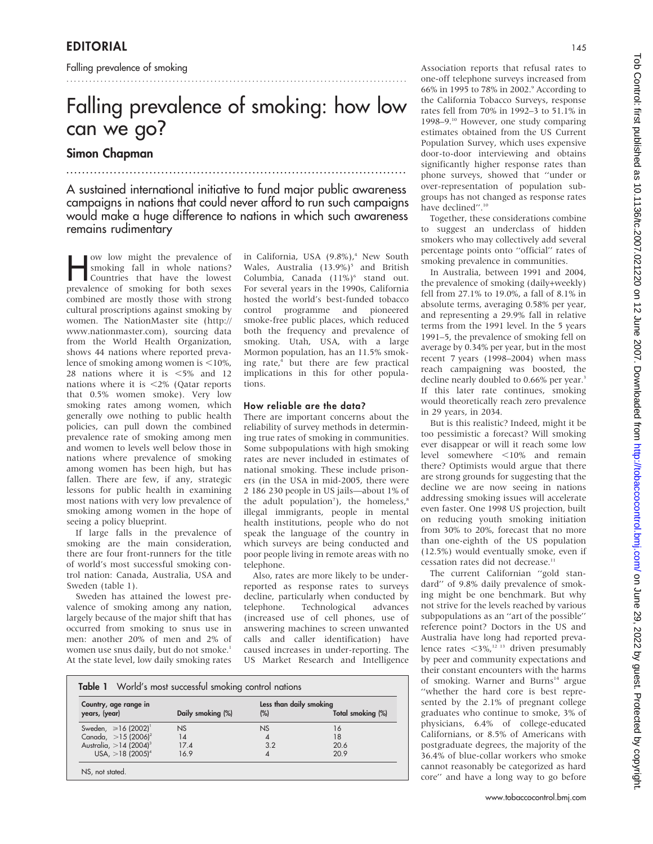Falling prevalence of smoking

# Falling prevalence of smoking: how low can we go?

..........................................................................................

### Simon Chapman

A sustained international initiative to fund major public awareness campaigns in nations that could never afford to run such campaigns would make a huge difference to nations in which such awareness remains rudimentary

......................................................................................

w low might the prevalence of<br>
countries that have the lowest<br>
prevalence of empling for both caves smoking fall in whole nations? prevalence of smoking for both sexes combined are mostly those with strong cultural proscriptions against smoking by women. The NationMaster site (http:// www.nationmaster.com), sourcing data from the World Health Organization, shows 44 nations where reported prevalence of smoking among women is  $\leq 10\%$ , 28 nations where it is  $<$  5% and 12 nations where it is  $\langle 2\% \rangle$  (Qatar reports that 0.5% women smoke). Very low smoking rates among women, which generally owe nothing to public health policies, can pull down the combined prevalence rate of smoking among men and women to levels well below those in nations where prevalence of smoking among women has been high, but has fallen. There are few, if any, strategic lessons for public health in examining most nations with very low prevalence of smoking among women in the hope of seeing a policy blueprint.

If large falls in the prevalence of smoking are the main consideration, there are four front-runners for the title of world's most successful smoking control nation: Canada, Australia, USA and Sweden (table 1).

Sweden has attained the lowest prevalence of smoking among any nation, largely because of the major shift that has occurred from smoking to snus use in men: another 20% of men and 2% of women use snus daily, but do not smoke.<sup>1</sup> At the state level, low daily smoking rates in California, USA (9.8%),<sup>4</sup> New South Wales, Australia  $(13.9\%)^5$  and British Columbia, Canada (11%)<sup>6</sup> stand out. For several years in the 1990s, California hosted the world's best-funded tobacco control programme and pioneered smoke-free public places, which reduced both the frequency and prevalence of smoking. Utah, USA, with a large Mormon population, has an 11.5% smoking rate,<sup>4</sup> but there are few practical implications in this for other populations.

#### How reliable are the data?

There are important concerns about the reliability of survey methods in determining true rates of smoking in communities. Some subpopulations with high smoking rates are never included in estimates of national smoking. These include prisoners (in the USA in mid-2005, there were 2 186 230 people in US jails—about 1% of the adult population<sup>7</sup>), the homeless,<sup>8</sup> illegal immigrants, people in mental health institutions, people who do not speak the language of the country in which surveys are being conducted and poor people living in remote areas with no telephone.

Also, rates are more likely to be underreported as response rates to surveys decline, particularly when conducted by telephone. Technological advances (increased use of cell phones, use of answering machines to screen unwanted calls and caller identification) have caused increases in under-reporting. The US Market Research and Intelligence

| <b>Table 1</b> World's most successful smoking control nations |  |
|----------------------------------------------------------------|--|
|                                                                |  |

| Country, age range in<br>years, (year) | Daily smoking (%) | Less than daily smoking<br>$(\%)$ | Total smoking (%) |
|----------------------------------------|-------------------|-----------------------------------|-------------------|
| Sweden, $\geq 16$ (2002) <sup>1</sup>  | NS                | $_{\rm NS}$                       | 16                |
| Canada, $>15$ (2006) <sup>2</sup>      | 14                | 4                                 | 18                |
| Australia, $>14$ (2004) <sup>3</sup>   | 17.4              | 3.2                               | 20.6              |
| USA, $>18$ (2005) <sup>4</sup>         | 16.9              | 4                                 | 20.9              |

Association reports that refusal rates to one-off telephone surveys increased from 66% in 1995 to 78% in 2002.9 According to the California Tobacco Surveys, response rates fell from 70% in 1992–3 to 51.1% in 1998–9.<sup>10</sup> However, one study comparing estimates obtained from the US Current Population Survey, which uses expensive door-to-door interviewing and obtains significantly higher response rates than phone surveys, showed that ''under or over-representation of population subgroups has not changed as response rates have declined".<sup>10</sup>

Together, these considerations combine to suggest an underclass of hidden smokers who may collectively add several percentage points onto ''official'' rates of smoking prevalence in communities.

In Australia, between 1991 and 2004, the prevalence of smoking (daily+weekly) fell from 27.1% to 19.0%, a fall of 8.1% in absolute terms, averaging 0.58% per year, and representing a 29.9% fall in relative terms from the 1991 level. In the 5 years 1991–5, the prevalence of smoking fell on average by 0.34% per year, but in the most recent 7 years (1998–2004) when mass reach campaigning was boosted, the decline nearly doubled to 0.66% per year.<sup>3</sup> If this later rate continues, smoking would theoretically reach zero prevalence in 29 years, in 2034.

But is this realistic? Indeed, might it be too pessimistic a forecast? Will smoking ever disappear or will it reach some low level somewhere <10% and remain there? Optimists would argue that there are strong grounds for suggesting that the decline we are now seeing in nations addressing smoking issues will accelerate even faster. One 1998 US projection, built on reducing youth smoking initiation from 30% to 20%, forecast that no more than one-eighth of the US population (12.5%) would eventually smoke, even if cessation rates did not decrease.<sup>1</sup>

The current Californian ''gold standard'' of 9.8% daily prevalence of smoking might be one benchmark. But why not strive for the levels reached by various subpopulations as an ''art of the possible'' reference point? Doctors in the US and Australia have long had reported prevalence rates  $\langle 3\%,$ <sup>12 13</sup> driven presumably by peer and community expectations and their constant encounters with the harms of smoking. Warner and Burns<sup>14</sup> argue ''whether the hard core is best represented by the 2.1% of pregnant college graduates who continue to smoke, 3% of physicians, 6.4% of college-educated Californians, or 8.5% of Americans with postgraduate degrees, the majority of the 36.4% of blue-collar workers who smoke cannot reasonably be categorized as hard core'' and have a long way to go before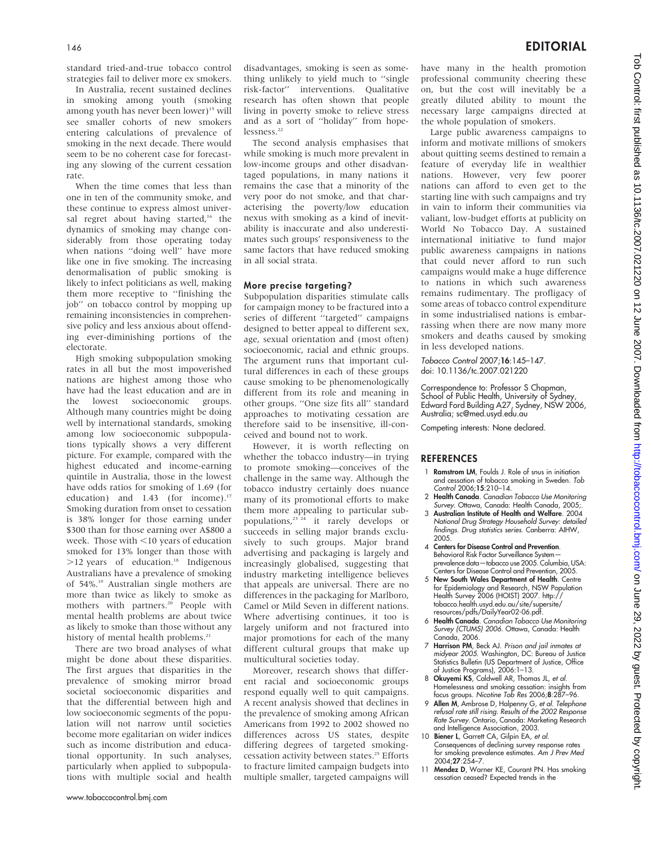standard tried-and-true tobacco control strategies fail to deliver more ex smokers.

In Australia, recent sustained declines in smoking among youth (smoking among youth has never been lower)<sup>15</sup> will see smaller cohorts of new smokers entering calculations of prevalence of smoking in the next decade. There would seem to be no coherent case for forecasting any slowing of the current cessation rate.

When the time comes that less than one in ten of the community smoke, and these continue to express almost universal regret about having started,<sup>16</sup> the dynamics of smoking may change considerably from those operating today when nations ''doing well'' have more like one in five smoking. The increasing denormalisation of public smoking is likely to infect politicians as well, making them more receptive to ''finishing the job'' on tobacco control by mopping up remaining inconsistencies in comprehensive policy and less anxious about offending ever-diminishing portions of the electorate.

High smoking subpopulation smoking rates in all but the most impoverished nations are highest among those who have had the least education and are in the lowest socioeconomic groups. Although many countries might be doing well by international standards, smoking among low socioeconomic subpopulations typically shows a very different picture. For example, compared with the highest educated and income-earning quintile in Australia, those in the lowest have odds ratios for smoking of 1.69 (for education) and 1.43 (for income).<sup>17</sup> Smoking duration from onset to cessation is 38% longer for those earning under \$300 than for those earning over A\$800 a week. Those with  $\leq$ 10 years of education smoked for 13% longer than those with >12 years of education.<sup>18</sup> Indigenous Australians have a prevalence of smoking of 54%.<sup>19</sup> Australian single mothers are more than twice as likely to smoke as mothers with partners.<sup>20</sup> People with mental health problems are about twice as likely to smoke than those without any history of mental health problems.<sup>21</sup>

There are two broad analyses of what might be done about these disparities. The first argues that disparities in the prevalence of smoking mirror broad societal socioeconomic disparities and that the differential between high and low socioeconomic segments of the population will not narrow until societies become more egalitarian on wider indices such as income distribution and educational opportunity. In such analyses, particularly when applied to subpopulations with multiple social and health

disadvantages, smoking is seen as something unlikely to yield much to ''single risk-factor'' interventions. Qualitative research has often shown that people living in poverty smoke to relieve stress and as a sort of ''holiday'' from hopelessness.<sup>22</sup>

The second analysis emphasises that while smoking is much more prevalent in low-income groups and other disadvantaged populations, in many nations it remains the case that a minority of the very poor do not smoke, and that characterising the poverty/low education nexus with smoking as a kind of inevitability is inaccurate and also underestimates such groups' responsiveness to the same factors that have reduced smoking in all social strata.

#### More precise targeting?

Subpopulation disparities stimulate calls for campaign money to be fractured into a series of different ''targeted'' campaigns designed to better appeal to different sex, age, sexual orientation and (most often) socioeconomic, racial and ethnic groups. The argument runs that important cultural differences in each of these groups cause smoking to be phenomenologically different from its role and meaning in other groups. ''One size fits all'' standard approaches to motivating cessation are therefore said to be insensitive, ill-conceived and bound not to work.

However, it is worth reflecting on whether the tobacco industry—in trying to promote smoking—conceives of the challenge in the same way. Although the tobacco industry certainly does nuance many of its promotional efforts to make them more appealing to particular subpopulations,23 24 it rarely develops or succeeds in selling major brands exclusively to such groups. Major brand advertising and packaging is largely and increasingly globalised, suggesting that industry marketing intelligence believes that appeals are universal. There are no differences in the packaging for Marlboro, Camel or Mild Seven in different nations. Where advertising continues, it too is largely uniform and not fractured into major promotions for each of the many different cultural groups that make up multicultural societies today.

Moreover, research shows that different racial and socioeconomic groups respond equally well to quit campaigns. A recent analysis showed that declines in the prevalence of smoking among African Americans from 1992 to 2002 showed no differences across US states, despite differing degrees of targeted smokingcessation activity between states.<sup>25</sup> Efforts to fracture limited campaign budgets into multiple smaller, targeted campaigns will have many in the health promotion professional community cheering these on, but the cost will inevitably be a greatly diluted ability to mount the necessary large campaigns directed at the whole population of smokers.

Large public awareness campaigns to inform and motivate millions of smokers about quitting seems destined to remain a feature of everyday life in wealthier nations. However, very few poorer nations can afford to even get to the starting line with such campaigns and try in vain to inform their communities via valiant, low-budget efforts at publicity on World No Tobacco Day. A sustained international initiative to fund major public awareness campaigns in nations that could never afford to run such campaigns would make a huge difference to nations in which such awareness remains rudimentary. The profligacy of some areas of tobacco control expenditure in some industrialised nations is embarrassing when there are now many more smokers and deaths caused by smoking in less developed nations.

Tobacco Control 2007;16:145–147. doi: 10.1136/tc.2007.021220

Correspondence to: Professor S Chapman, School of Public Health, University of Sydney Edward Ford Building A27, Sydney, NSW 2006, Australia; sc@med.usyd.edu.au

Competing interests: None declared.

#### **REFERENCES**

- 1 **Ramstrom LM**, Foulds J. Role of snus in initiation and cessation of tobacco smoking in Sweden. Tob Control 2006;15:210–14.
- 2 Health Canada. Canadian Tobacco Use Monitoring Survey. Ottawa, Canada: Health Canada, 2005;.
- 3 Australian Institute of Health and Welfare. 2004 National Drug Strategy Household Survey: detailed findings. Drug statistics series. Canberra: AIHW, 2005.
- 4 Centers for Disease Control and Prevention. Behavioral Risk Factor Surveillance System prevalence data—tobacco use 2005. Columbia, USA: Centers for Disease Control and Prevention, 2005.
- 5 New South Wales Department of Health. Centre for Epidemiology and Research, NSW Population Health Survey 2006 (HOIST) 2007. http:// tobacco.health.usyd.edu.au/site/supersite/ resources/pdfs/DailyYear02-06.pdf.
- 6 Health Canada. Canadian Tobacco Use Monitoring Survey (CTUMS) 2006. Ottawa, Canada: Health Canada, 2006.
- 7 Harrison PM, Beck AJ. Prison and jail inmates at midyear 2005. Washington, DC: Bureau of Justice Statistics Bulletin (US Department of Justice, Office
- of Justice Programs), 2006:1–13.<br>8 **Okuyemi KS**, Caldwell AR, Thomas JL, *et al.* Homelessness and smoking cessation: insights from focus groups. Nicotine Tob Res 2006;8:287–96.
- 9 Allen M, Ambrose D, Halpenny G, et al. Telephone refusal rate still rising. Results of the 2002 Response Rate Survey. Ontario, Canada: Marketing Research and Intelligence Association, 2003.
- 10 Biener L, Garrett CA, Gilpin EA, et al. Consequences of declining survey response rates for smoking prevalence estimates. Am J Prev Med 2004;27:254–7.
- 11 Mendez D, Warner KE, Courant PN. Has smoking cessation ceased? Expected trends in the